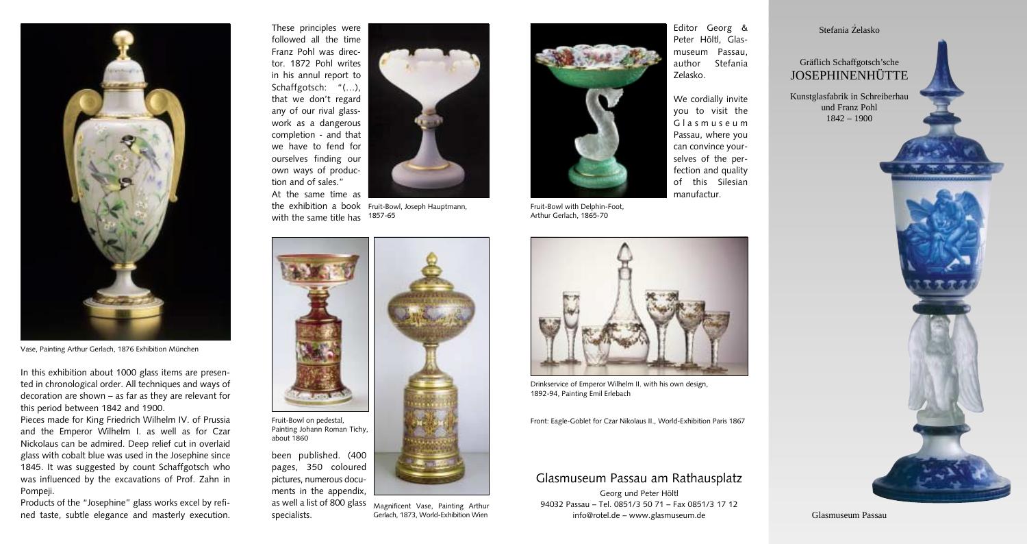

Vase, Painting Arthur Gerlach, 1876 Exhibition München

In this exhibition about 1000 glass items are presented in chronological order. All techniques and ways of decoration are shown – as far as they are relevant for this period between 1842 and 1900.

Pieces made for King Friedrich Wilhelm IV. of Prussia and the Emperor Wilhelm I. as well as for Czar Nickolaus can be admired. Deep relief cut in overlaid glass with cobalt blue was used in the Josephine since 1845. It was suggested by count Schaffgotsch who was influenced by the excavations of Prof. Zahn in Pompeji.

Products of the "Josephine" glass works excel by refined taste, subtle elegance and masterly execution.



specialists.

the exhibition a book Fruit-Bowl, Joseph Hauptmann, with the same title has 1857-65



Magnificent Vase, Painting Arthur Gerlach, 1873, World-Exhibition Wien



Fruit-Bowl with Delphin-Foot, Arthur Gerlach, 1865-70



Drinkservice of Emperor Wilhelm II. with his own design, 1892-94, Painting Emil Erlebach

Front: Eagle-Goblet for Czar Nikolaus II., World-Exhibition Paris 1867

## Glasmuseum Passau am Rathausplatz

Georg und Peter Höltl 94032 Passau – Tel. 0851/3 50 71 – Fax 0851/3 17 12 info@rotel.de – www.glasmuseum.de

.<br>Stefania Żelasko

## Gräflich Schaffgotsch'sche JOSEPHINENHÜTTE

Kunstglasfabrik in Schreiberhau und Franz Pohl 1842 – 1900



Glasmuseum Passau